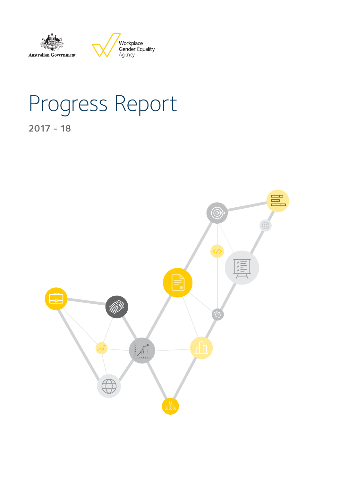

# Progress Report

2017 - 18

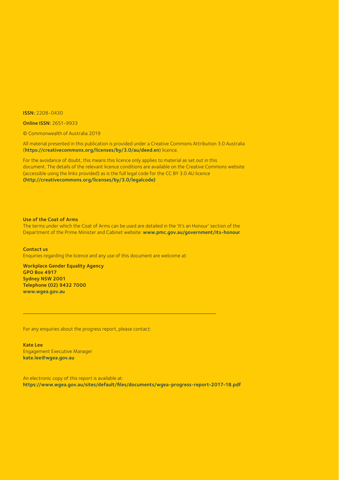ISSN: 2208-0430

Online ISSN: 2651-9933

© Commonwealth of Australia 2019

All material presented in this publication is provided under a Creative Commons Attribution 3.0 Australia (https://creativecommons.org/licenses/by/3.0/au/deed.en) licence.

For the avoidance of doubt, this means this licence only applies to material as set out in this document. The details of the relevant licence conditions are available on the Creative Commons website (accessible using the links provided) as is the full legal code for the CC BY 3.0 AU licence (http://creativecommons.org/licenses/by/3.0/legalcode)

Use of the Coat of Arms

The terms under which the Coat of Arms can be used are detailed in the 'It's an Honour' section of the Department of the Prime Minister and Cabinet website: www.pmc.gov.au/government/its-honour

Contact us Enquiries regarding the licence and any use of this document are welcome at:

Workplace Gender Equality Agency GPO Box 4917 Sydney NSW 2001 Telephone (02) 9432 7000 www.wgea.gov.au

For any enquiries about the progress report, please contact:

Kate Lee Engagement Executive Manager kate.lee@wgea.gov.au

An electronic copy of this report is available at: https://www.wgea.gov.au/sites/default/files/documents/wgea-progress-report-2017-18.pdf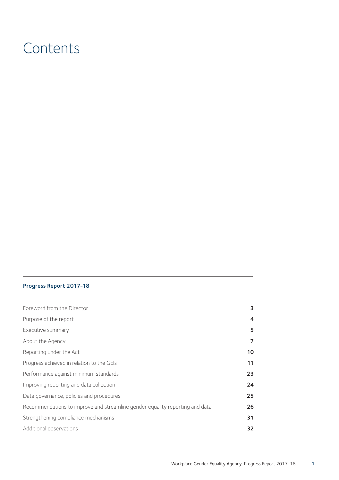# **Contents**

#### Progress Report 2017-18

| Foreword from the Director                                                   | 3                       |
|------------------------------------------------------------------------------|-------------------------|
| Purpose of the report                                                        | $\overline{\mathbf{A}}$ |
| Executive summary                                                            | 5                       |
| About the Agency                                                             | 7                       |
| Reporting under the Act                                                      | 10                      |
| Progress achieved in relation to the GEIs                                    | 11                      |
| Performance against minimum standards                                        | 23                      |
| Improving reporting and data collection                                      | 24                      |
| Data governance, policies and procedures                                     | 25                      |
| Recommendations to improve and streamline gender equality reporting and data | 26                      |
| Strengthening compliance mechanisms                                          | 31                      |
| Additional observations                                                      | 32                      |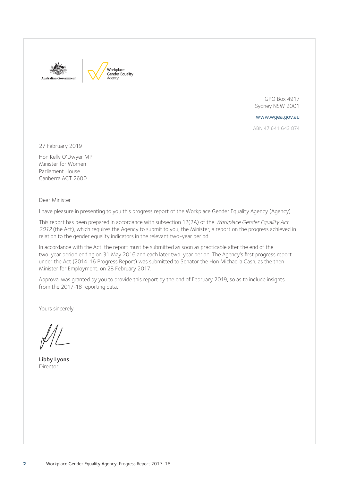



GPO Box 4917 Sydney NSW 2001

www.wgea.gov.au

ABN 47 641 643 874

27 February 2019

Hon Kelly O'Dwyer MP Minister for Women Parliament House Canberra ACT 2600

Dear Minister

I have pleasure in presenting to you this progress report of the Workplace Gender Equality Agency (Agency).

This report has been prepared in accordance with subsection 12(2A) of the Workplace Gender Equality Act <sup>2012</sup> (the Act), which requires the Agency to submit to you, the Minister, a report on the progress achieved in relation to the gender equality indicators in the relevant two-year period.

In accordance with the Act, the report must be submitted as soon as practicable after the end of the two-year period ending on 31 May 2016 and each later two-year period. The Agency's first progress report under the Act (2014-16 Progress Report) was submitted to Senator the Hon Michaelia Cash, as the then Minister for Employment, on 28 February 2017.

Approval was granted by you to provide this report by the end of February 2019, so as to include insights from the 2017-18 reporting data.

Yours sincerely

Libby Lyons Director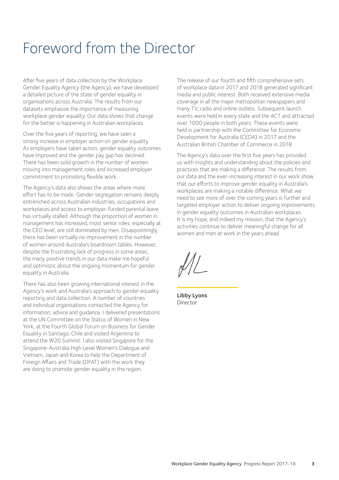# Foreword from the Director

After five years of data collection by the Workplace Gender Equality Agency (the Agency), we have developed a detailed picture of the state of gender equality in organisations across Australia. The results from our datasets emphasise the importance of measuring workplace gender equality. Our data shows that change for the better is happening in Australian workplaces.

Over the five years of reporting, we have seen a strong increase in employer action on gender equality. As employers have taken action, gender equality outcomes have improved and the gender pay gap has declined. There has been solid growth in the number of women moving into management roles and increased employer commitment to promoting flexible work.

The Agency's data also shows the areas where more effort has to be made. Gender segregation remains deeply entrenched across Australian industries, occupations and workplaces and access to employer-funded parental leave has virtually stalled. Although the proportion of women in management has increased, most senior roles, especially at the CEO level, are still dominated by men. Disappointingly, there has been virtually no improvement in the number of women around Australia's boardroom tables. However, despite the frustrating lack of progress in some areas, the many positive trends in our data make me hopeful and optimistic about the ongoing momentum for gender equality in Australia.

There has also been growing international interest in the Agency's work and Australia's approach to gender equality reporting and data collection. A number of countries and individual organisations contacted the Agency for information, advice and guidance. I delivered presentations at the UN Committee on the Status of Women in New York, at the Fourth Global Forum on Business for Gender Equality in Santiago, Chile and visited Argentina to attend the W20 Summit. I also visited Singapore for the Singapore-Australia High Level Women's Dialogue and Vietnam, Japan and Korea to help the Department of Foreign Affairs and Trade (DFAT) with the work they are doing to promote gender equality in the region.

The release of our fourth and fifth comprehensive sets of workplace data in 2017 and 2018 generated significant media and public interest. Both received extensive media coverage in all the major metropolitan newspapers and many TV, radio and online outlets. Subsequent launch events were held in every state and the ACT and attracted over 1000 people in both years. These events were held in partnership with the Committee for Economic Development for Australia (CEDA) in 2017 and the Australian British Chamber of Commerce in 2018.

The Agency's data over the first five years has provided us with insights and understanding about the policies and practices that are making a difference. The results from our data and the ever-increasing interest in our work show that our efforts to improve gender equality in Australia's workplaces are making a notable difference. What we need to see more of over the coming years is further and targeted employer action to deliver ongoing improvements in gender equality outcomes in Australian workplaces. It is my hope, and indeed my mission, that the Agency's activities continue to deliver meaningful change for all women and men at work in the years ahead.

Libby Lyons Director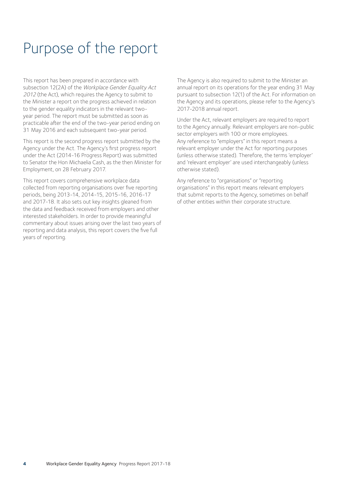# Purpose of the report

This report has been prepared in accordance with subsection 12(2A) of the Workplace Gender Equality Act <sup>2012</sup> (the Act), which requires the Agency to submit to the Minister a report on the progress achieved in relation to the gender equality indicators in the relevant twoyear period. The report must be submitted as soon as practicable after the end of the two-year period ending on 31 May 2016 and each subsequent two-year period.

This report is the second progress report submitted by the Agency under the Act. The Agency's first progress report under the Act (2014-16 Progress Report) was submitted to Senator the Hon Michaelia Cash, as the then Minister for Employment, on 28 February 2017.

This report covers comprehensive workplace data collected from reporting organisations over five reporting periods, being 2013-14, 2014-15, 2015-16, 2016-17 and 2017-18. It also sets out key insights gleaned from the data and feedback received from employers and other interested stakeholders. In order to provide meaningful commentary about issues arising over the last two years of reporting and data analysis, this report covers the five full years of reporting.

The Agency is also required to submit to the Minister an annual report on its operations for the year ending 31 May pursuant to subsection 12(1) of the Act. For information on the Agency and its operations, please refer to the Agency's 2017-2018 annual report.

Under the Act, relevant employers are required to report to the Agency annually. Relevant employers are non-public sector employers with 100 or more employees. Any reference to "employers" in this report means a relevant employer under the Act for reporting purposes (unless otherwise stated). Therefore, the terms 'employer' and 'relevant employer' are used interchangeably (unless otherwise stated).

Any reference to "organisations" or "reporting organisations" in this report means relevant employers that submit reports to the Agency, sometimes on behalf of other entities within their corporate structure.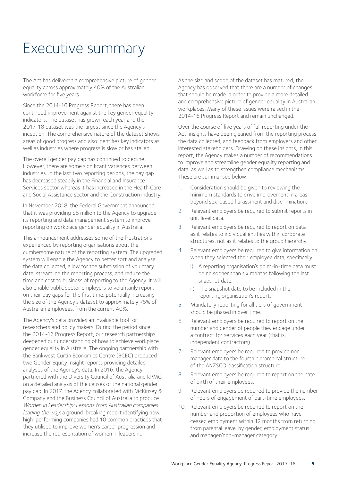# Executive summary

The Act has delivered a comprehensive picture of gender equality across approximately 40% of the Australian workforce for five years.

Since the 2014-16 Progress Report, there has been continued improvement against the key gender equality indicators. The dataset has grown each year and the 2017-18 dataset was the largest since the Agency's inception. The comprehensive nature of the dataset shows areas of good progress and also identifies key indicators as well as industries where progress is slow or has stalled.

The overall gender pay gap has continued to decline. However, there are some significant variances between industries. In the last two reporting periods, the pay gap has decreased steadily in the Financial and Insurance Services sector whereas it has increased in the Health Care and Social Assistance sector and the Construction industry.

In November 2018, the Federal Government announced that it was providing \$8 million to the Agency to upgrade its reporting and data management system to improve reporting on workplace gender equality in Australia.

This announcement addresses some of the frustrations experienced by reporting organisations about the cumbersome nature of the reporting system. The upgraded system will enable the Agency to better sort and analyse the data collected, allow for the submission of voluntary data, streamline the reporting process, and reduce the time and cost to business of reporting to the Agency. It will also enable public sector employers to voluntarily report on their pay gaps for the first time, potentially increasing the size of the Agency's dataset to approximately 75% of Australian employees, from the current 40%.

The Agency's data provides an invaluable tool for researchers and policy makers. During the period since the 2014-16 Progress Report, our research partnerships deepened our understanding of how to achieve workplace gender equality in Australia. The ongoing partnership with the Bankwest Curtin Economics Centre (BCEC) produced two Gender Equity Insight reports providing detailed analyses of the Agency's data. In 2016, the Agency partnered with the Diversity Council of Australia and KPMG on a detailed analysis of the causes of the national gender pay gap. In 2017, the Agency collaborated with McKinsey & Company and the Business Council of Australia to produce Women in Leadership: Lessons from Australian companies leading the way: a ground-breaking report identifying how high-performing companies had 10 common practices that they utilised to improve women's career progression and increase the representation of women in leadership.

As the size and scope of the dataset has matured, the Agency has observed that there are a number of changes that should be made in order to provide a more detailed and comprehensive picture of gender equality in Australian workplaces. Many of these issues were raised in the 2014-16 Progress Report and remain unchanged.

Over the course of five years of full reporting under the Act, insights have been gleaned from the reporting process, the data collected, and feedback from employers and other interested stakeholders. Drawing on these insights, in this report, the Agency makes a number of recommendations to improve and streamline gender equality reporting and data, as well as to strengthen compliance mechanisms. These are summarised below:

- 1. Consideration should be given to reviewing the minimum standards to drive improvement in areas beyond sex-based harassment and discrimination.
- 2. Relevant employers be required to submit reports in unit level data.
- 3. Relevant employers be required to report on data as it relates to individual entities within corporate structures, not as it relates to the group hierarchy.
- 4. Relevant employers be required to give information on when they selected their employee data, specifically:
	- i) A reporting organisation's point-in-time data must be no sooner than six months following the last snapshot date.
	- ii) The snapshot date to be included in the reporting organisation's report.
- 5. Mandatory reporting for all tiers of government should be phased in over time.
- 6. Relevant employers be required to report on the number and gender of people they engage under a contract for services each year (that is, independent contractors).
- 7. Relevant employers be required to provide nonmanager data to the fourth hierarchical structure of the ANZSCO classification structure.
- 8. Relevant employers be required to report on the date of birth of their employees.
- 9. Relevant employers be required to provide the number of hours of engagement of part-time employees.
- 10. Relevant employers be required to report on the number and proportion of employees who have ceased employment within 12 months from returning from parental leave, by gender, employment status and manager/non-manager category.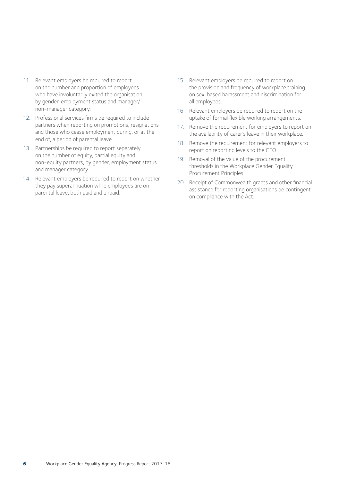- 11. Relevant employers be required to report on the number and proportion of employees who have involuntarily exited the organisation, by gender, employment status and manager/ non-manager category.
- 12. Professional services firms be required to include partners when reporting on promotions, resignations and those who cease employment during, or at the end of, a period of parental leave.
- 13. Partnerships be required to report separately on the number of equity, partial equity and non-equity partners, by gender, employment status and manager category.
- 14. Relevant employers be required to report on whether they pay superannuation while employees are on parental leave, both paid and unpaid.
- 15. Relevant employers be required to report on the provision and frequency of workplace training on sex-based harassment and discrimination for all employees.
- 16. Relevant employers be required to report on the uptake of formal flexible working arrangements.
- 17. Remove the requirement for employers to report on the availability of carer's leave in their workplace.
- 18. Remove the requirement for relevant employers to report on reporting levels to the CEO.
- 19. Removal of the value of the procurement thresholds in the Workplace Gender Equality Procurement Principles.
- 20. Receipt of Commonwealth grants and other financial assistance for reporting organisations be contingent on compliance with the Act.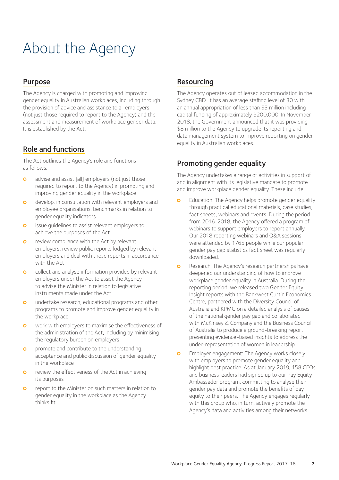# About the Agency

### Purpose

The Agency is charged with promoting and improving gender equality in Australian workplaces, including through the provision of advice and assistance to all employers (not just those required to report to the Agency) and the assessment and measurement of workplace gender data. It is established by the Act.

# Role and functions

The Act outlines the Agency's role and functions as follows:

- **o** advise and assist [all] employers (not just those required to report to the Agency) in promoting and improving gender equality in the workplace
- **o** develop, in consultation with relevant employers and employee organisations, benchmarks in relation to gender equality indicators
- **o** issue quidelines to assist relevant employers to achieve the purposes of the Act
- **o** review compliance with the Act by relevant employers, review public reports lodged by relevant employers and deal with those reports in accordance with the Act
- **o** collect and analyse information provided by relevant employers under the Act to assist the Agency to advise the Minister in relation to legislative instruments made under the Act
- **o** undertake research, educational programs and other programs to promote and improve gender equality in the workplace
- **o** work with employers to maximise the effectiveness of the administration of the Act, including by minimising the regulatory burden on employers
- **o** promote and contribute to the understanding, acceptance and public discussion of gender equality in the workplace
- **o** review the effectiveness of the Act in achieving its purposes
- **o** report to the Minister on such matters in relation to gender equality in the workplace as the Agency thinks fit.

### Resourcing

The Agency operates out of leased accommodation in the Sydney CBD. It has an average staffing level of 30 with an annual appropriation of less than \$5 million including capital funding of approximately \$200,000. In November 2018, the Government announced that it was providing \$8 million to the Agency to upgrade its reporting and data management system to improve reporting on gender equality in Australian workplaces.

# Promoting gender equality

The Agency undertakes a range of activities in support of and in alignment with its legislative mandate to promote and improve workplace gender equality. These include:

- Education: The Agency helps promote gender equality through practical educational materials, case studies, fact sheets, webinars and events. During the period from 2016-2018, the Agency offered a program of webinars to support employers to report annually. Our 2018 reporting webinars and Q&A sessions were attended by 1765 people while our popular gender pay gap statistics fact sheet was regularly downloaded.
- **o** Research: The Agency's research partnerships have deepened our understanding of how to improve workplace gender equality in Australia. During the reporting period, we released two Gender Equity Insight reports with the Bankwest Curtin Economics Centre, partnered with the Diversity Council of Australia and KPMG on a detailed analysis of causes of the national gender pay gap and collaborated with McKinsey & Company and the Business Council of Australia to produce a ground-breaking report presenting evidence-based insights to address the under-representation of women in leadership.
- **o** Employer engagement: The Agency works closely with employers to promote gender equality and highlight best practice. As at January 2019, 158 CEOs and business leaders had signed up to our Pay Equity Ambassador program, committing to analyse their gender pay data and promote the benefits of pay equity to their peers. The Agency engages regularly with this group who, in turn, actively promote the Agency's data and activities among their networks.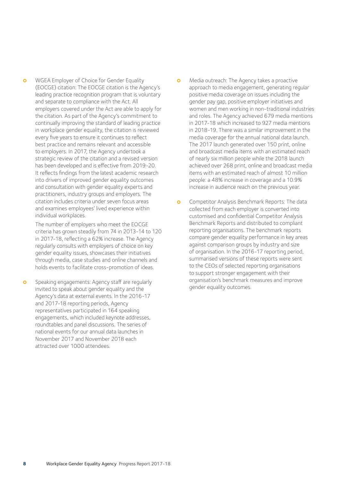**o** WGEA Employer of Choice for Gender Equality (EOCGE) citation: The EOCGE citation is the Agency's leading practice recognition program that is voluntary and separate to compliance with the Act. All employers covered under the Act are able to apply for the citation. As part of the Agency's commitment to continually improving the standard of leading practice in workplace gender equality, the citation is reviewed every five years to ensure it continues to reflect best practice and remains relevant and accessible to employers. In 2017, the Agency undertook a strategic review of the citation and a revised version has been developed and is effective from 2019-20. It reflects findings from the latest academic research into drivers of improved gender equality outcomes and consultation with gender equality experts and practitioners, industry groups and employers. The citation includes criteria under seven focus areas and examines employees' lived experience within individual workplaces.

 The number of employers who meet the EOCGE criteria has grown steadily from 74 in 2013-14 to 120 in 2017-18, reflecting a 62% increase. The Agency regularly consults with employers of choice on key gender equality issues, showcases their initiatives through media, case studies and online channels and holds events to facilitate cross-promotion of ideas.

**o** Speaking engagements: Agency staff are regularly invited to speak about gender equality and the Agency's data at external events. In the 2016-17 and 2017-18 reporting periods, Agency representatives participated in 164 speaking engagements, which included keynote addresses, roundtables and panel discussions. The series of national events for our annual data launches in November 2017 and November 2018 each attracted over 1000 attendees.

- **o** Media outreach: The Agency takes a proactive approach to media engagement, generating regular positive media coverage on issues including the gender pay gap, positive employer initiatives and women and men working in non-traditional industries and roles. The Agency achieved 679 media mentions in 2017-18 which increased to 927 media mentions in 2018-19. There was a similar improvement in the media coverage for the annual national data launch. The 2017 launch generated over 150 print, online and broadcast media items with an estimated reach of nearly six million people while the 2018 launch achieved over 268 print, online and broadcast media items with an estimated reach of almost 10 million people: a 48% increase in coverage and a 10.9% increase in audience reach on the previous year.
- **o** Competitor Analysis Benchmark Reports: The data collected from each employer is converted into customised and confidential Competitor Analysis Benchmark Reports and distributed to compliant reporting organisations. The benchmark reports compare gender equality performance in key areas against comparison groups by industry and size of organisation. In the 2016-17 reporting period, summarised versions of these reports were sent to the CEOs of selected reporting organisations to support stronger engagement with their organisation's benchmark measures and improve gender equality outcomes.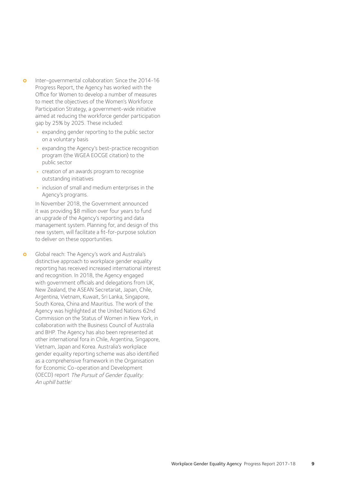- **o** Inter-governmental collaboration: Since the 2014-16 Progress Report, the Agency has worked with the Office for Women to develop a number of measures to meet the objectives of the Women's Workforce Participation Strategy, a government-wide initiative aimed at reducing the workforce gender participation gap by 25% by 2025. These included:
	- expanding gender reporting to the public sector on a voluntary basis
	- expanding the Agency's best-practice recognition program (the WGEA EOCGE citation) to the public sector
	- creation of an awards program to recognise outstanding initiatives
	- inclusion of small and medium enterprises in the Agency's programs.

 In November 2018, the Government announced it was providing \$8 million over four years to fund an upgrade of the Agency's reporting and data management system. Planning for, and design of this new system, will facilitate a fit-for-purpose solution to deliver on these opportunities.

**o** Global reach: The Agency's work and Australia's distinctive approach to workplace gender equality reporting has received increased international interest and recognition. In 2018, the Agency engaged with government officials and delegations from UK, New Zealand, the ASEAN Secretariat, Japan, Chile, Argentina, Vietnam, Kuwait, Sri Lanka, Singapore, South Korea, China and Mauritius. The work of the Agency was highlighted at the United Nations 62nd Commission on the Status of Women in New York, in collaboration with the Business Council of Australia and BHP. The Agency has also been represented at other international fora in Chile, Argentina, Singapore, Vietnam, Japan and Korea. Australia's workplace gender equality reporting scheme was also identified as a comprehensive framework in the Organisation for Economic Co-operation and Development (OECD) report The Pursuit of Gender Equality: An uphill battle. i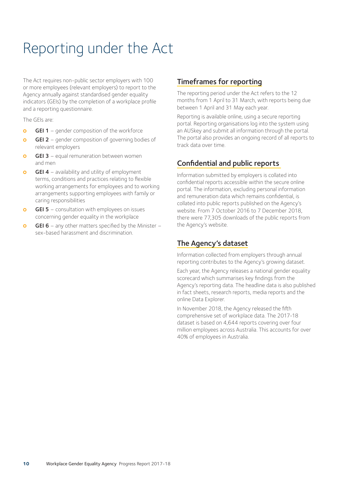# Reporting under the Act

The Act requires non-public sector employers with 100 or more employees (relevant employers) to report to the Agency annually against standardised gender equality indicators (GEIs) by the completion of a workplace profile and a reporting questionnaire.

The GEIs are:

- **GEI 1** gender composition of the workforce
- **GEI 2** gender composition of governing bodies of relevant employers
- $\Omega$ GEI 3 - equal remuneration between women and men
- $\Omega$ **GEI 4** – availability and utility of employment terms, conditions and practices relating to flexible working arrangements for employees and to working arrangements supporting employees with family or caring responsibilities
- **GEI 5** consultation with employees on issues concerning gender equality in the workplace
- **GEI 6** any other matters specified by the Minister sex-based harassment and discrimination.

### Timeframes for reporting

The reporting period under the Act refers to the 12 months from 1 April to 31 March, with reports being due between 1 April and 31 May each year.

Reporting is available online, using a secure reporting portal. Reporting organisations log into the system using an AUSkey and submit all information through the portal. The portal also provides an ongoing record of all reports to track data over time.

# Confidential and public reports

Information submitted by employers is collated into confidential reports accessible within the secure online portal. The information, excluding personal information and remuneration data which remains confidential, is collated into public reports published on the Agency's website. From 7 October 2016 to 7 December 2018, there were 77,305 downloads of the public reports from the Agency's website.

# The Agency's dataset

Information collected from employers through annual reporting contributes to the Agency's growing dataset.

Each year, the Agency releases a national gender equality scorecard which summarises key findings from the Agency's reporting data. The headline data is also published in fact sheets, research reports, media reports and the online Data Explorer.

In November 2018, the Agency released the fifth comprehensive set of workplace data. The 2017-18 dataset is based on 4,644 reports covering over four million employees across Australia. This accounts for over 40% of employees in Australia.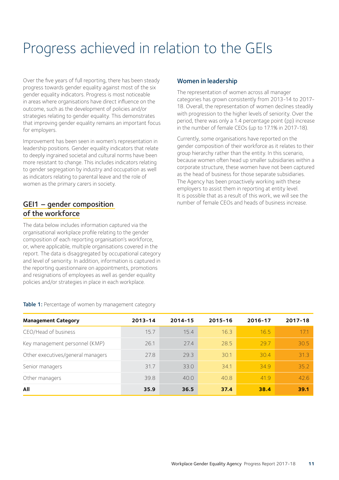# Progress achieved in relation to the GEIs

Over the five years of full reporting, there has been steady progress towards gender equality against most of the six gender equality indicators. Progress is most noticeable in areas where organisations have direct influence on the outcome, such as the development of policies and/or strategies relating to gender equality. This demonstrates that improving gender equality remains an important focus for employers.

Improvement has been seen in women's representation in leadership positions. Gender equality indicators that relate to deeply ingrained societal and cultural norms have been more resistant to change. This includes indicators relating to gender segregation by industry and occupation as well as indicators relating to parental leave and the role of women as the primary carers in society.

### GEI1 – gender composition of the workforce

The data below includes information captured via the organisational workplace profile relating to the gender composition of each reporting organisation's workforce, or, where applicable, multiple organisations covered in the report. The data is disaggregated by occupational category and level of seniority. In addition, information is captured in the reporting questionnaire on appointments, promotions and resignations of employees as well as gender equality policies and/or strategies in place in each workplace.

#### Women in leadership

The representation of women across all manager categories has grown consistently from 2013-14 to 2017- 18. Overall, the representation of women declines steadily with progression to the higher levels of seniority. Over the period, there was only a 1.4 percentage point (pp) increase in the number of female CEOs (up to 17.1% in 2017-18).

Currently, some organisations have reported on the gender composition of their workforce as it relates to their group hierarchy rather than the entity. In this scenario, because women often head up smaller subsidiaries within a corporate structure, these women have not been captured as the head of business for those separate subsidiaries. The Agency has been proactively working with these employers to assist them in reporting at entity level. It is possible that as a result of this work, we will see the number of female CEOs and heads of business increase.

| <b>Management Category</b>        | 2013-14 | 2014-15 | 2015-16 | 2016-17 | $2017 - 18$ |
|-----------------------------------|---------|---------|---------|---------|-------------|
| CEO/Head of business              | 15.7    | 15.4    | 16.3    | 16.5    | 17.1        |
| Key management personnel (KMP)    | 26.1    | 27.4    | 28.5    | 297     | 30.5        |
| Other executives/general managers | 27.8    | 29.3    | 30.1    | 30.4    | 313         |
| Senior managers                   | 31.7    | 33.0    | 34.1    | 34.9    | 35.2        |
| Other managers                    | 39.8    | 40.0    | 40.8    | 41.9    | 42.6        |
| All                               | 35.9    | 36.5    | 37.4    | 38.4    | 39.1        |

Table 1: Percentage of women by management category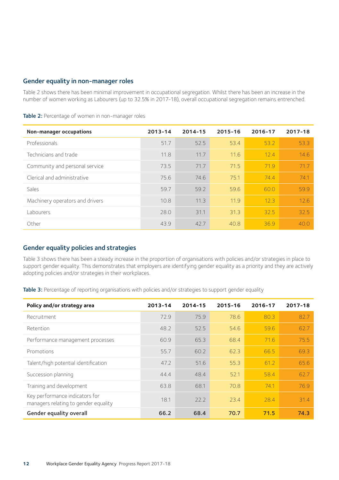#### Gender equality in non-manager roles

Table 2 shows there has been minimal improvement in occupational segregation. Whilst there has been an increase in the number of women working as Labourers (up to 32.5% in 2017-18), overall occupational segregation remains entrenched.

| Non-manager occupations         | $2013 - 14$ | $2014 - 15$ | 2015-16 | 2016-17 | 2017-18 |
|---------------------------------|-------------|-------------|---------|---------|---------|
| Professionals                   | 51.7        | 52.5        | 53.4    | 53.2    | 53.3    |
| Technicians and trade           | 11.8        | 11.7        | 11.6    | 12.4    | 14.6    |
| Community and personal service  | 73.5        | 71.7        | 71.5    | 71.9    | 71.7    |
| Clerical and administrative     | 75.6        | 74.6        | 75.1    | 74.4    | 74.1    |
| Sales                           | 59.7        | 59.2        | 59.6    | 60.0    | 59.9    |
| Machinery operators and drivers | 10.8        | 11.3        | 11.9    | 12.3    | 12.6    |
| Labourers                       | 28.0        | 31.1        | 31.3    | 32.5    | 32.5    |
| Other                           | 43.9        | 42.7        | 40.8    | 36.9    | 40.0    |

Table 2: Percentage of women in non-manager roles

#### Gender equality policies and strategies

Table 3 shows there has been a steady increase in the proportion of organisations with policies and/or strategies in place to support gender equality. This demonstrates that employers are identifying gender equality as a priority and they are actively adopting policies and/or strategies in their workplaces.

Table 3: Percentage of reporting organisations with policies and/or strategies to support gender equality

| Policy and/or strategy area                                            | $2013 - 14$ | $2014 - 15$ | 2015-16 | 2016-17 | 2017-18 |
|------------------------------------------------------------------------|-------------|-------------|---------|---------|---------|
| Recruitment                                                            | 72.9        | 75.9        | 78.6    | 80.3    | 82.7    |
| Retention                                                              | 48.2        | 52.5        | 54.6    | 59.6    | 62.7    |
| Performance management processes                                       | 60.9        | 65.3        | 68.4    | 71.6    | 75.5    |
| Promotions                                                             | 55.7        | 60.2        | 62.3    | 66.5    | 69.3    |
| Talent/high potential identification                                   | 47.2        | 51.6        | 55.3    | 61.2    | 65.6    |
| Succession planning                                                    | 44.4        | 48.4        | 52.1    | 58.4    | 62.7    |
| Training and development                                               | 63.8        | 68.1        | 70.8    | 74.1    | 76.9    |
| Key performance indicators for<br>managers relating to gender equality | 18.1        | 22.2        | 23.4    | 28.4    | 31.4    |
| Gender equality overall                                                | 66.2        | 68.4        | 70.7    | 71.5    | 74.3    |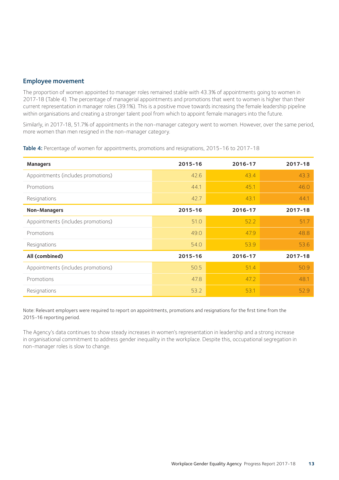#### Employee movement

The proportion of women appointed to manager roles remained stable with 43.3% of appointments going to women in 2017-18 (Table 4). The percentage of managerial appointments and promotions that went to women is higher than their current representation in manager roles (39.1%). This is a positive move towards increasing the female leadership pipeline within organisations and creating a stronger talent pool from which to appoint female managers into the future.

Similarly, in 2017-18, 51.7% of appointments in the non-manager category went to women. However, over the same period, more women than men resigned in the non-manager category.

| <b>Managers</b>                    | 2015-16 | 2016-17 | 2017-18 |
|------------------------------------|---------|---------|---------|
| Appointments (includes promotions) | 42.6    | 43.4    | 43.3    |
| Promotions                         | 44.1    | 45.1    | 46.0    |
| Resignations                       | 42.7    | 43.1    | 44.1    |
| Non-Managers                       | 2015-16 | 2016-17 | 2017-18 |
| Appointments (includes promotions) | 51.0    | 52.2    | 51.7    |
| Promotions                         | 49.0    | 47.9    | 48.8    |
| Resignations                       | 54.0    | 53.9    | 53.6    |
| All (combined)                     | 2015-16 | 2016-17 | 2017-18 |
| Appointments (includes promotions) | 50.5    | 51.4    | 50.9    |
| Promotions                         | 47.8    | 47.2    | 48.1    |
| Resignations                       | 53.2    | 53.1    | 52.9    |

Table 4: Percentage of women for appointments, promotions and resignations, 2015-16 to 2017-18

Note: Relevant employers were required to report on appointments, promotions and resignations for the first time from the 2015-16 reporting period.

The Agency's data continues to show steady increases in women's representation in leadership and a strong increase in organisational commitment to address gender inequality in the workplace. Despite this, occupational segregation in non-manager roles is slow to change.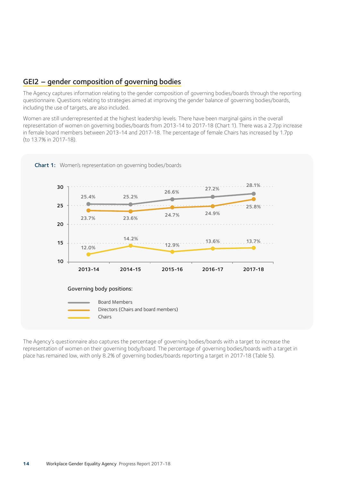### GEI2 – gender composition of governing bodies

The Agency captures information relating to the gender composition of governing bodies/boards through the reporting questionnaire. Questions relating to strategies aimed at improving the gender balance of governing bodies/boards, including the use of targets, are also included.

Women are still underrepresented at the highest leadership levels. There have been marginal gains in the overall representation of women on governing bodies/boards from 2013-14 to 2017-18 (Chart 1). There was a 2.7pp increase in female board members between 2013-14 and 2017-18. The percentage of female Chairs has increased by 1.7pp (to 13.7% in 2017-18).



The Agency's questionnaire also captures the percentage of governing bodies/boards with a target to increase the representation of women on their governing body/board. The percentage of governing bodies/boards with a target in place has remained low, with only 8.2% of governing bodies/boards reporting a target in 2017-18 (Table 5).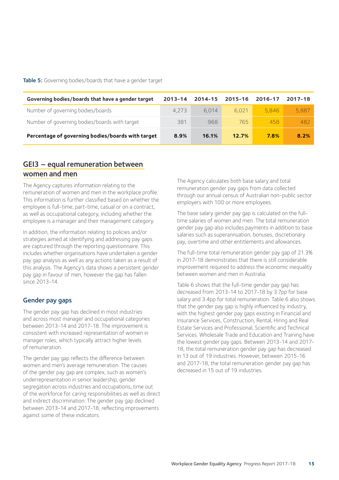Table 5: Governing bodies/boards that have a gender target

| Governing bodies/boards that have a gender target | 2013-14 | 2014-15 | 2015-16 | 2016-17 | 2017-18 |
|---------------------------------------------------|---------|---------|---------|---------|---------|
| Number of governing bodies/boards                 | 4.273   | 6.014   | 6.021   | 5.846   | 5,887   |
| Number of governing bodies/boards with target     | 381     | 968     | 765     | 458     | 482     |
| Percentage of governing bodies/boards with target | 8.9%    | 16.1%   | 12.7%   | 7.8%    | 8.2%    |

### GEI3 – equal remuneration between women and men

The Agency captures information relating to the remuneration of women and men in the workplace profile. This information is further classified based on whether the employee is full-time, part-time, casual or on a contract, as well as occupational category, including whether the employee is a manager and their management category.

In addition, the information relating to policies and/or strategies aimed at identifying and addressing pay gaps are captured through the reporting questionnaire. This includes whether organisations have undertaken a gender pay gap analysis as well as any actions taken as a result of this analysis. The Agency's data shows a persistent gender pay gap in favour of men, however the gap has fallen since 2013-14.

#### Gender pay gaps

The gender pay gap has declined in most industries and across most manager and occupational categories between 2013-14 and 2017-18. The improvement is consistent with increased representation of women in manager roles, which typically attract higher levels of remuneration.

The gender pay gap reflects the difference between women and men's average remuneration. The causes of the gender pay gap are complex, such as women's underrepresentation in senior leadership, gender segregation across industries and occupations, time out of the workforce for caring responsibilities as well as direct and indirect discrimination. The gender pay gap declined between 2013-14 and 2017-18, reflecting improvements against some of these indicators.

The Agency calculates both base salary and total remuneration gender pay gaps from data collected through our annual census of Australian non-public sector employers with 100 or more employees.

The base salary gender pay gap is calculated on the fulltime salaries of women and men. The total remuneration gender pay gap also includes payments in addition to base salaries such as superannuation, bonuses, discretionary pay, overtime and other entitlements and allowances.

The full-time total remuneration gender pay gap of 21.3% in 2017-18 demonstrates that there is still considerable improvement required to address the economic inequality between women and men in Australia.

Table 6 shows that the full-time gender pay gap has decreased from 2013-14 to 2017-18 by 3.7pp for base salary and 3.4pp for total remuneration. Table 6 also shows that the gender pay gap is highly influenced by industry, with the highest gender pay gaps existing in Financial and Insurance Services, Construction, Rental, Hiring and Real Estate Services and Professional, Scientific and Technical Services. Wholesale Trade and Education and Training have the lowest gender pay gaps. Between 2013-14 and 2017- 18, the total remuneration gender pay gap has decreased in 13 out of 19 industries. However, between 2015-16 and 2017-18, the total remuneration gender pay gap has decreased in 15 out of 19 industries.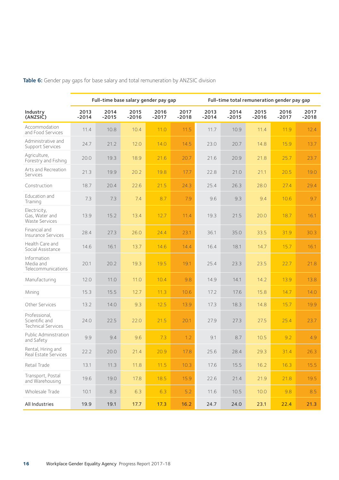|                                                              | Full-time base salary gender pay gap |                 |                 |                 |                 | Full-time total remuneration gender pay gap |                 |                 |                 |                 |
|--------------------------------------------------------------|--------------------------------------|-----------------|-----------------|-----------------|-----------------|---------------------------------------------|-----------------|-----------------|-----------------|-----------------|
| Industry<br>(ANZSIC)                                         | 2013<br>$-2014$                      | 2014<br>$-2015$ | 2015<br>$-2016$ | 2016<br>$-2017$ | 2017<br>$-2018$ | 2013<br>$-2014$                             | 2014<br>$-2015$ | 2015<br>$-2016$ | 2016<br>$-2017$ | 2017<br>$-2018$ |
| Accommodation<br>and Food Services                           | 11.4                                 | 10.8            | 10.4            | 11.0            | 11.5            | 11.7                                        | 10.9            | 11.4            | 11.9            | 12.4            |
| Administrative and<br>Support Services                       | 24.7                                 | 21.2            | 12.0            | 14.0            | 14.5            | 23.0                                        | 20.7            | 14.8            | 15.9            | 13.7            |
| Agriculture,<br>Forestry and Fishing                         | 20.0                                 | 19.3            | 18.9            | 21.6            | 20.7            | 21.6                                        | 20.9            | 21.8            | 25.7            | 23.7            |
| Arts and Recreation<br>Services                              | 21.3                                 | 19.9            | 20.2            | 19.8            | 17.7            | 22.8                                        | 21.0            | 21.1            | 20.5            | 19.0            |
| Construction                                                 | 18.7                                 | 20.4            | 22.6            | 21.5            | 24.3            | 25.4                                        | 26.3            | 28.0            | 27.4            | 29.4            |
| Education and<br>Training                                    | 7.3                                  | 7.3             | 7.4             | 8.7             | 7.9             | 9.6                                         | 9.3             | 9.4             | 10.6            | 9.7             |
| Electricity,<br>Gas, Water and<br><b>Waste Services</b>      | 13.9                                 | 15.2            | 13.4            | 12.7            | 11.4            | 19.3                                        | 21.5            | 20.0            | 18.7            | 16.1            |
| Financial and<br>Insurance Services                          | 28.4                                 | 27.3            | 26.0            | 24.4            | 23.1            | 36.1                                        | 35.0            | 33.5            | 31.9            | 30.3            |
| Health Care and<br>Social Assistance                         | 14.6                                 | 16.1            | 13.7            | 14.6            | 14.4            | 16.4                                        | 18.1            | 14.7            | 15.7            | 16.1            |
| Information<br>Media and<br>Telecommunications               | 20.1                                 | 20.2            | 19.3            | 19.5            | 19.1            | 25.4                                        | 23.3            | 23.5            | 22.7            | 21.8            |
| Manufacturing                                                | 12.0                                 | 11.0            | 11.0            | 10.4            | 9.8             | 14.9                                        | 14.1            | 14.2            | 13.9            | 13.8            |
| Mining                                                       | 15.3                                 | 15.5            | 12.7            | 11.3            | 10.6            | 17.2                                        | 17.6            | 15.8            | 14.7            | 14.0            |
| Other Services                                               | 13.2                                 | 14.0            | 9.3             | 12.5            | 13.9            | 17.3                                        | 18.3            | 14.8            | 15.7            | 19.9            |
| Professional,<br>Scientific and<br><b>Technical Services</b> | 24.0                                 | 22.5            | 22.0            | 21.5            | 20.1            | 27.9                                        | 27.3            | 27.5            | 25.4            | 23.7            |
| Public Administration<br>and Safety                          | 9.9                                  | 9.4             | 9.6             | 7.3             | 1.2             | 9.1                                         | 8.7             | 10.5            | 9.2             | 4.9             |
| Rental, Hiring and<br>Real Estate Services                   | 22.2                                 | 20.0            | 21.4            | 20.9            | 17.8            | 25.6                                        | 28.4            | 29.3            | 31.4            | 26.3            |
| Retail Trade                                                 | 13.1                                 | 11.3            | 11.8            | 11.5            | 10.3            | 17.6                                        | 15.5            | 16.2            | 16.3            | 15.5            |
| Transport, Postal<br>and Warehousing                         | 19.6                                 | 19.0            | 17.8            | 18.5            | 15.9            | 22.6                                        | 21.4            | 21.9            | 21.8            | 19.5            |
| Wholesale Trade                                              | 10.1                                 | 8.3             | 6.3             | 6.3             | 5.2             | 11.6                                        | 10.5            | 10.0            | 9.8             | 8.5             |
| All Industries                                               | 19.9                                 | 19.1            | 17.7            | 17.3            | 16.2            | 24.7                                        | 24.0            | 23.1            | 22.4            | 21.3            |

Table 6: Gender pay gaps for base salary and total remuneration by ANZSIC division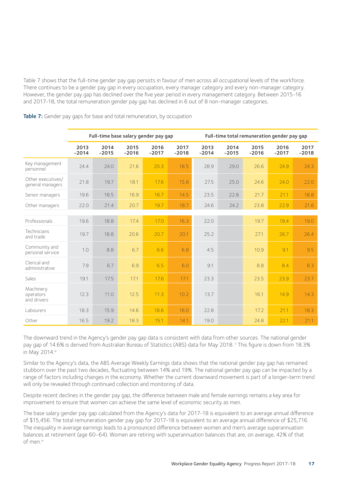Table 7 shows that the full-time gender pay gap persists in favour of men across all occupational levels of the workforce. There continues to be a gender pay gap in every occupation, every manager category and every non-manager category. However, the gender pay gap has declined over the five year period in every management category. Between 2015-16 and 2017-18, the total remuneration gender pay gap has declined in 6 out of 8 non-manager categories.

|                                       |                 |                 |                 | Full-time base salary gender pay gap |                 | Full-time total remuneration gender pay gap |                 |                 |                 |                 |
|---------------------------------------|-----------------|-----------------|-----------------|--------------------------------------|-----------------|---------------------------------------------|-----------------|-----------------|-----------------|-----------------|
|                                       | 2013<br>$-2014$ | 2014<br>$-2015$ | 2015<br>$-2016$ | 2016<br>$-2017$                      | 2017<br>$-2018$ | 2013<br>$-2014$                             | 2014<br>$-2015$ | 2015<br>$-2016$ | 2016<br>$-2017$ | 2017<br>$-2018$ |
| Key management<br>personnel           | 24.4            | 24.0            | 21.6            | 20.3                                 | 18.5            | 28.9                                        | 29.0            | 26.6            | 24.9            | 24.3            |
| Other executives/<br>general managers | 21.8            | 19.7            | 18.1            | 17.6                                 | 15.8            | 27.5                                        | 25.0            | 24.6            | 24.0            | 22.0            |
| Senior managers                       | 19.6            | 18.5            | 16.9            | 16.7                                 | 14.5            | 23.5                                        | 22.8            | 21.7            | 21.1            | 18.8            |
| Other managers                        | 22.0            | 21.4            | 20.7            | 19.7                                 | 18.7            | 24.6                                        | 24.2            | 23.8            | 22.9            | 21.6            |
|                                       |                 |                 |                 |                                      |                 |                                             |                 |                 |                 |                 |
| Professionals                         | 19.6            | 18.8            | 17.4            | 17.0                                 | 16.3            | 22.0                                        |                 | 19.7            | 19.4            | 19.0            |
| Technicians<br>and trade              | 19.7            | 18.8            | 20.6            | 20.7                                 | 20.1            | 25.2                                        |                 | 27.1            | 26.7            | 26.4            |
| Community and<br>personal service     | 1.0             | 8.8             | 6.7             | 6.6                                  | 6.8             | 4.5                                         |                 | 10.9            | 9.1             | 9.5             |
| Clerical and<br>administrative        | 7.9             | 6.7             | 6.9             | 6.5                                  | 6.0             | 9.1                                         |                 | 8.8             | 8.4             | 8.3             |
| Sales                                 | 19.1            | 17.5            | 17.1            | 17.6                                 | 17.1            | 23.3                                        |                 | 23.5            | 23.9            | 23.7            |
| Machinery<br>operators<br>and drivers | 12.3            | 11.0            | 12.5            | 11.3                                 | 10.2            | 13.7                                        |                 | 16.1            | 14.9            | 14.3            |
| Labourers                             | 18.3            | 15.9            | 14.6            | 18.6                                 | 16.0            | 22.8                                        |                 | 17.2            | 21.1            | 18.3            |
| Other                                 | 16.5            | 19.2            | 18.3            | 15.1                                 | 14.1            | 19.0                                        |                 | 24.8            | 22.1            | 21.1            |

Table 7: Gender pay gaps for base and total remuneration, by occupation

The downward trend in the Agency's gender pay gap data is consistent with data from other sources. The national gender pay gap of 14.6% is derived from Australian Bureau of Statistics (ABS) data for May 2018. ii This figure is down from 18.3% in May 2014.iii

Similar to the Agency's data, the ABS Average Weekly Earnings data shows that the national gender pay gap has remained stubborn over the past two decades, fluctuating between 14% and 19%. The national gender pay gap can be impacted by a range of factors including changes in the economy. Whether the current downward movement is part of a longer-term trend will only be revealed through continued collection and monitoring of data.

Despite recent declines in the gender pay gap, the difference between male and female earnings remains a key area for improvement to ensure that women can achieve the same level of economic security as men.

The base salary gender pay gap calculated from the Agency's data for 2017-18 is equivalent to an average annual difference of \$15,456. The total remuneration gender pay gap for 2017-18 is equivalent to an average annual difference of \$25,716. The inequality in average earnings leads to a pronounced difference between women and men's average superannuation balances at retirement (age 60-64). Women are retiring with superannuation balances that are, on average, 42% of that of men.iv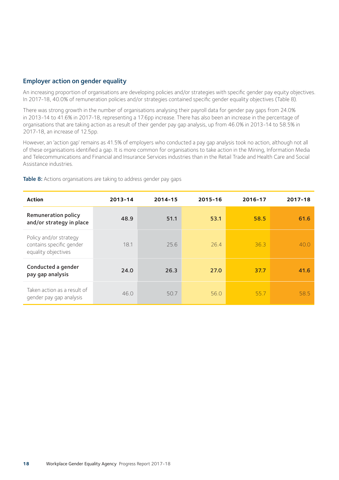#### Employer action on gender equality

An increasing proportion of organisations are developing policies and/or strategies with specific gender pay equity objectives. In 2017-18, 40.0% of remuneration policies and/or strategies contained specific gender equality objectives (Table 8).

There was strong growth in the number of organisations analysing their payroll data for gender pay gaps from 24.0% in 2013-14 to 41.6% in 2017-18, representing a 17.6pp increase. There has also been an increase in the percentage of organisations that are taking action as a result of their gender pay gap analysis, up from 46.0% in 2013-14 to 58.5% in 2017-18, an increase of 12.5pp.

However, an 'action gap' remains as 41.5% of employers who conducted a pay gap analysis took no action, although not all of these organisations identified a gap. It is more common for organisations to take action in the Mining, Information Media and Telecommunications and Financial and Insurance Services industries than in the Retail Trade and Health Care and Social Assistance industries.

| <b>Action</b>                                                             | 2013-14 | 2014-15 | 2015-16 | 2016-17 | 2017-18 |
|---------------------------------------------------------------------------|---------|---------|---------|---------|---------|
| Remuneration policy<br>and/or strategy in place                           | 48.9    | 51.1    | 53.1    | 58.5    | 61.6    |
| Policy and/or strategy<br>contains specific gender<br>equality objectives | 18.1    | 25.6    | 26.4    | 36.3    | 40.0    |
| Conducted a gender<br>pay gap analysis                                    | 24.0    | 26.3    | 27.0    | 37.7    | 41.6    |
| Taken action as a result of<br>gender pay gap analysis                    | 46.0    | 50.7    | 56.0    | 55.7    | 58.5    |

Table 8: Actions organisations are taking to address gender pay gaps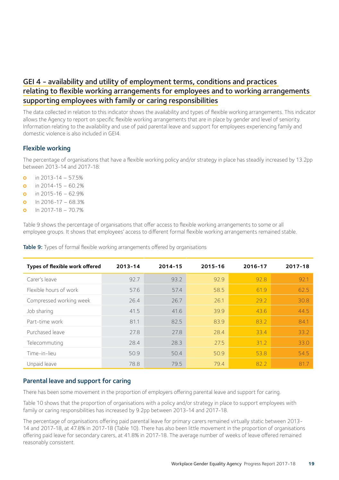### GEI 4 - availability and utility of employment terms, conditions and practices relating to flexible working arrangements for employees and to working arrangements supporting employees with family or caring responsibilities

The data collected in relation to this indicator shows the availability and types of flexible working arrangements. This indicator allows the Agency to report on specific flexible working arrangements that are in place by gender and level of seniority. Information relating to the availability and use of paid parental leave and support for employees experiencing family and domestic violence is also included in GEI4.

#### Flexible working

The percentage of organisations that have a flexible working policy and/or strategy in place has steadily increased by 13.2pp between 2013-14 and 2017-18:

- **o** in 2013-14 57.5%
- **o** in 2014-15 60.2%
- **o** in 2015-16 62.9%
- $\Omega$  In 2016-17 68.3%
- $\Omega$  In 2017-18 70.7%

Table 9 shows the percentage of organisations that offer access to flexible working arrangements to some or all employee groups. It shows that employees' access to different formal flexible working arrangements remained stable.

|  |  | <b>Table 9:</b> Types of formal flexible working arrangements offered by organisations |  |  |
|--|--|----------------------------------------------------------------------------------------|--|--|
|  |  |                                                                                        |  |  |

| Types of flexible work offered | 2013-14 | 2014-15 | 2015-16 | 2016-17 | 2017-18 |
|--------------------------------|---------|---------|---------|---------|---------|
| Carer's leave                  | 92.7    | 93.2    | 92.9    | 92.8    | 92.1    |
| Elexible hours of work         | 57.6    | 57.4    | 58.5    | 61.9    | 62.5    |
| Compressed working week        | 26.4    | 26.7    | 26.1    | 29.2    | 30.8    |
| Job sharing                    | 41.5    | 41.6    | 39.9    | 43.6    | 44.5    |
| Part-time work                 | 81.1    | 82.5    | 83.9    | 83.2    | 84.1    |
| Purchased leave                | 27.8    | 27.8    | 28.4    | 33.4    | 33.2    |
| Telecommuting                  | 28.4    | 28.3    | 27.5    | 31.2    | 33.0    |
| Time-in-lieu                   | 50.9    | 50.4    | 50.9    | 53.8    | 54.5    |
| Unpaid leave                   | 78.8    | 79.5    | 79.4    | 82.2    | 81.7    |

#### Parental leave and support for caring

There has been some movement in the proportion of employers offering parental leave and support for caring.

Table 10 shows that the proportion of organisations with a policy and/or strategy in place to support employees with family or caring responsibilities has increased by 9.2pp between 2013-14 and 2017-18.

The percentage of organisations offering paid parental leave for primary carers remained virtually static between 2013- 14 and 2017-18, at 47.8% in 2017-18 (Table 10). There has also been little movement in the proportion of organisations offering paid leave for secondary carers, at 41.8% in 2017-18. The average number of weeks of leave offered remained reasonably consistent.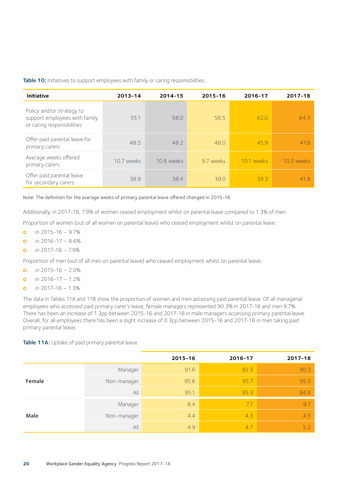#### Table 10: Initiatives to support employees with family or caring responsibilities

| <b>Initiative</b>                                                                        | 2013-14    | 2014-15    | 2015-16   | 2016-17    | 2017-18    |
|------------------------------------------------------------------------------------------|------------|------------|-----------|------------|------------|
| Policy and/or strategy to<br>support employees with family<br>or caring responsibilities | 55.1       | 58.0       | 56.5      | 62.0       | 64.3       |
| Offer paid parental leave for<br>primary carers                                          | 48.5       | 48.2       | 48.0      | 45.9       | 47.8       |
| Average weeks offered<br>primary carers                                                  | 10.7 weeks | 10.6 weeks | 9.7 weeks | 10.1 weeks | 10.3 weeks |
| Offer paid parental leave<br>for secondary carers                                        | 38.8       | 38.4       | 39.0      | 393        | 41.8       |

Note: The definition for the average weeks of primary parental leave offered changed in 2015-16.

Additionally, in 2017-18, 7.9% of women ceased employment whilst on parental leave compared to 1.3% of men.

Proportion of women (out of all women on parental leave) who ceased employment whilst on parental leave:

- $\circ$ in 2015-16 – 9.7%
- in 2016-17 8.6%  $\Omega$
- in 2017-18 7.9%  $\Omega$

Proportion of men (out of all men on parental leave) who ceased employment whilst on parental leave:

- in 2015-16 2.0%  $\circ$
- in 2016-17 1.2%  $\Omega$
- in 2017-18 1.3%  $\circ$

The data in Tables 11A and 11B show the proportion of women and men accessing paid parental leave. Of all managerial employees who accessed paid primary carer's leave, female managers represented 90.3% in 2017-18 and men 9.7%. There has been an increase of 1.3pp between 2015-16 and 2017-18 in male managers accessing primary parental leave. Overall, for all employees there has been a slight increase of 0.3pp between 2015-16 and 2017-18 in men taking paid primary parental leave.

#### Table 11A: Uptake of paid primary parental leave

|        |             | 2015-16 | 2016-17 | 2017-18 |
|--------|-------------|---------|---------|---------|
|        | Manager     | 91.6    | 92.3    | 90.3    |
| Female | Non-manager | 95.6    | 95.7    | 95.5    |
|        | All         | 95.1    | 95.3    | 94.8    |
|        | Manager     | 8.4     | 7.7     | 9.7     |
| Male   | Non-manager | 4.4     | 4.3     | 4.5     |
|        | All         | 4.9     | 4.7     | 5.2     |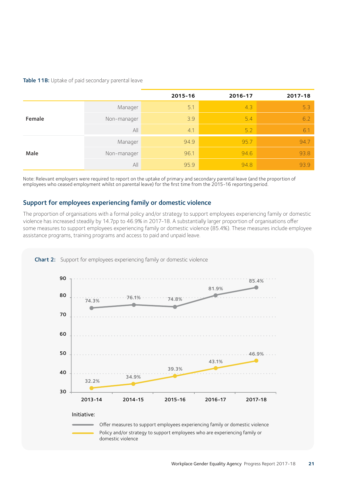#### Table 11B: Uptake of paid secondary parental leave

|        |             | 2015-16 | 2016-17 | 2017-18 |
|--------|-------------|---------|---------|---------|
|        | Manager     | 5.1     | 4.3     | 5.3     |
| Female | Non-manager | 3.9     | 5.4     | 6.2     |
|        | All         | 4.1     | 5.2     | 6.1     |
|        | Manager     | 94.9    | 95.7    | 94.7    |
| Male   | Non-manager | 96.1    | 94.6    | 93.8    |
|        | All         | 95.9    | 94.8    | 93.9    |

Note: Relevant employers were required to report on the uptake of primary and secondary parental leave (and the proportion of employees who ceased employment whilst on parental leave) for the first time from the 2015-16 reporting period.

#### Support for employees experiencing family or domestic violence

The proportion of organisations with a formal policy and/or strategy to support employees experiencing family or domestic violence has increased steadily by 14.7pp to 46.9% in 2017-18. A substantially larger proportion of organisations offer some measures to support employees experiencing family or domestic violence (85.4%). These measures include employee assistance programs, training programs and access to paid and unpaid leave.



Chart 2: Support for employees experiencing family or domestic violence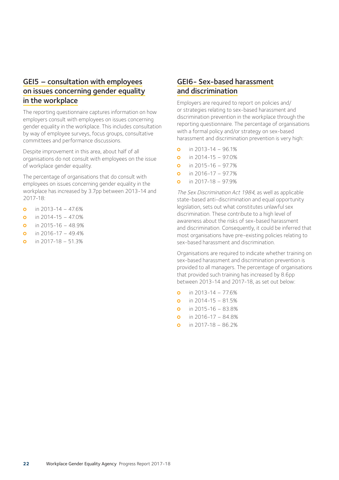### GEI5 – consultation with employees on issues concerning gender equality in the workplace

The reporting questionnaire captures information on how employers consult with employees on issues concerning gender equality in the workplace. This includes consultation by way of employee surveys, focus groups, consultative committees and performance discussions.

Despite improvement in this area, about half of all organisations do not consult with employees on the issue of workplace gender equality.

The percentage of organisations that do consult with employees on issues concerning gender equality in the workplace has increased by 3.7pp between 2013-14 and 2017-18:

- **o** in 2013-14 47.6%
- **o** in 2014-15 47.0%
- **o** in 2015-16 48.9%
- **o** in 2016-17 49.4%
- **o** in 2017-18 51.3%

# GEI6- Sex-based harassment and discrimination

Employers are required to report on policies and/ or strategies relating to sex-based harassment and discrimination prevention in the workplace through the reporting questionnaire. The percentage of organisations with a formal policy and/or strategy on sex-based harassment and discrimination prevention is very high:

- **o** in 2013-14 96.1%
- **o** in 2014-15 97.0%
- **o** in 2015-16 97.7%
- **o** in  $2016 17 97.7%$
- $\Omega$  in 2017-18 97.9%

The Sex Discrimination Act 1984, as well as applicable state-based anti-discrimination and equal opportunity legislation, sets out what constitutes unlawful sex discrimination. These contribute to a high level of awareness about the risks of sex-based harassment and discrimination. Consequently, it could be inferred that most organisations have pre-existing policies relating to sex-based harassment and discrimination.

Organisations are required to indicate whether training on sex-based harassment and discrimination prevention is provided to all managers. The percentage of organisations that provided such training has increased by 8.6pp between 2013-14 and 2017-18, as set out below:

- **o** in 2013-14 77.6%
- **o** in 2014-15 81.5%
- **o** in 2015-16 83.8%
- **o** in 2016-17 84.8%
- **o** in 2017-18 86.2%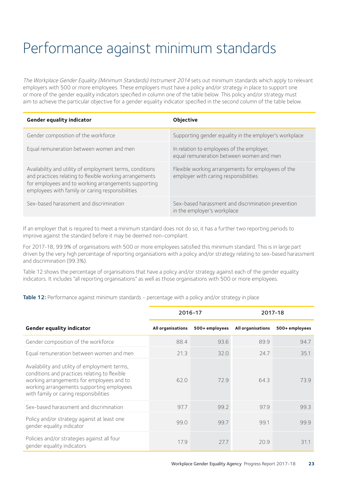# Performance against minimum standards

The Workplace Gender Equality (Minimum Standards) Instrument 2014 sets out minimum standards which apply to relevant employers with 500 or more employees. These employers must have a policy and/or strategy in place to support one or more of the gender equality indicators specified in column one of the table below. This policy and/or strategy must aim to achieve the particular objective for a gender equality indicator specified in the second column of the table below.

| Gender equality indicator                                                                                                                                                                                                       | Objective                                                                                   |
|---------------------------------------------------------------------------------------------------------------------------------------------------------------------------------------------------------------------------------|---------------------------------------------------------------------------------------------|
| Gender composition of the workforce                                                                                                                                                                                             | Supporting gender equality in the employer's workplace                                      |
| Equal remuneration between women and men                                                                                                                                                                                        | In relation to employees of the employer,<br>equal remuneration between women and men       |
| Availability and utility of employment terms, conditions<br>and practices relating to flexible working arrangements<br>for employees and to working arrangements supporting<br>employees with family or caring responsibilities | Flexible working arrangements for employees of the<br>employer with caring responsibilities |
| Sex-based harassment and discrimination                                                                                                                                                                                         | Sex-based harassment and discrimination prevention<br>in the employer's workplace           |

If an employer that is required to meet a minimum standard does not do so, it has a further two reporting periods to improve against the standard before it may be deemed non-compliant.

For 2017-18, 99.9% of organisations with 500 or more employees satisfied this minimum standard. This is in large part driven by the very high percentage of reporting organisations with a policy and/or strategy relating to sex-based harassment and discrimination (99.3%).

Table 12 shows the percentage of organisations that have a policy and/or strategy against each of the gender equality indicators. It includes "all reporting organisations" as well as those organisations with 500 or more employees.

Table 12: Performance against minimum standards - percentage with a policy and/or strategy in place

|                                                                                                                                                                                                                                    | 2016-17           |                | 2017-18           |                |
|------------------------------------------------------------------------------------------------------------------------------------------------------------------------------------------------------------------------------------|-------------------|----------------|-------------------|----------------|
| Gender equality indicator                                                                                                                                                                                                          | All organisations | 500+ employees | All organisations | 500+ employees |
| Gender composition of the workforce                                                                                                                                                                                                | 88.4              | 93.6           | 899               | 94.7           |
| Equal remuneration between women and men                                                                                                                                                                                           | 21.3              | 32.0           | 24.7              | 35.1           |
| Availability and utility of employment terms,<br>conditions and practices relating to flexible<br>working arrangements for employees and to<br>working arrangements supporting employees<br>with family or caring responsibilities | 62.0              | 72.9           | 64.3              | 73.9           |
| Sex-based harassment and discrimination                                                                                                                                                                                            | 97.7              | 99.2           | 97.9              | 99.3           |
| Policy and/or strategy against at least one<br>gender equality indicator                                                                                                                                                           | 99.0              | 99.7           | 991               | 99.9           |
| Policies and/or strategies against all four<br>gender equality indicators                                                                                                                                                          | 17.9              | 27.7           | 20.9              | 31.1           |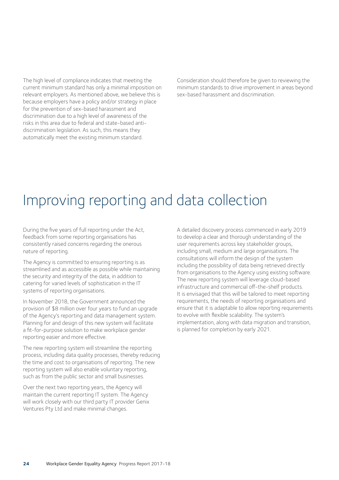The high level of compliance indicates that meeting the current minimum standard has only a minimal imposition on relevant employers. As mentioned above, we believe this is because employers have a policy and/or strategy in place for the prevention of sex-based harassment and discrimination due to a high level of awareness of the risks in this area due to federal and state-based antidiscrimination legislation. As such, this means they automatically meet the existing minimum standard.

Consideration should therefore be given to reviewing the minimum standards to drive improvement in areas beyond sex-based harassment and discrimination.

# Improving reporting and data collection

During the five years of full reporting under the Act, feedback from some reporting organisations has consistently raised concerns regarding the onerous nature of reporting.

The Agency is committed to ensuring reporting is as streamlined and as accessible as possible while maintaining the security and integrity of the data, in addition to catering for varied levels of sophistication in the IT systems of reporting organisations.

In November 2018, the Government announced the provision of \$8 million over four years to fund an upgrade of the Agency's reporting and data management system. Planning for and design of this new system will facilitate a fit-for-purpose solution to make workplace gender reporting easier and more effective.

The new reporting system will streamline the reporting process, including data quality processes, thereby reducing the time and cost to organisations of reporting. The new reporting system will also enable voluntary reporting, such as from the public sector and small businesses.

Over the next two reporting years, the Agency will maintain the current reporting IT system. The Agency will work closely with our third party IT provider Genix Ventures Pty Ltd and make minimal changes.

A detailed discovery process commenced in early 2019 to develop a clear and thorough understanding of the user requirements across key stakeholder groups, including small, medium and large organisations. The consultations will inform the design of the system including the possibility of data being retrieved directly from organisations to the Agency using existing software. The new reporting system will leverage cloud-based infrastructure and commercial off-the-shelf products. It is envisaged that this will be tailored to meet reporting requirements, the needs of reporting organisations and ensure that it is adaptable to allow reporting requirements to evolve with flexible scalability. The system's implementation, along with data migration and transition, is planned for completion by early 2021.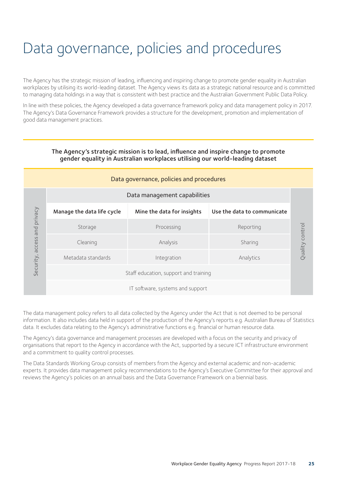# Data governance, policies and procedures

The Agency has the strategic mission of leading, influencing and inspiring change to promote gender equality in Australian workplaces by utilising its world-leading dataset. The Agency views its data as a strategic national resource and is committed to managing data holdings in a way that is consistent with best practice and the Australian Government Public Data Policy.

In line with these policies, the Agency developed a data governance framework policy and data management policy in 2017. The Agency's Data Governance Framework provides a structure for the development, promotion and implementation of good data management practices.

| Data governance, policies and procedures |                              |                            |                             |
|------------------------------------------|------------------------------|----------------------------|-----------------------------|
|                                          | Data management capabilities |                            |                             |
|                                          | Manage the data life cycle   | Mine the data for insights | Use the data to communicate |
| and privacy                              | Storage                      | Processing                 | Reporting                   |
| access                                   | Cleaning                     | Analysis                   | Sharing                     |
| Security,                                | Metadata standards           | Integration                | Analytics                   |
| Staff education, support and training    |                              |                            |                             |
| IT software, systems and support         |                              |                            |                             |

#### The Agency's strategic mission is to lead, influence and inspire change to promote gender equality in Australian workplaces utilising our world-leading dataset

The data management policy refers to all data collected by the Agency under the Act that is not deemed to be personal information. It also includes data held in support of the production of the Agency's reports e.g. Australian Bureau of Statistics data. It excludes data relating to the Agency's administrative functions e.g. financial or human resource data.

The Agency's data governance and management processes are developed with a focus on the security and privacy of organisations that report to the Agency in accordance with the Act, supported by a secure ICT infrastructure environment and a commitment to quality control processes.

The Data Standards Working Group consists of members from the Agency and external academic and non-academic experts. It provides data management policy recommendations to the Agency's Executive Committee for their approval and reviews the Agency's policies on an annual basis and the Data Governance Framework on a biennial basis.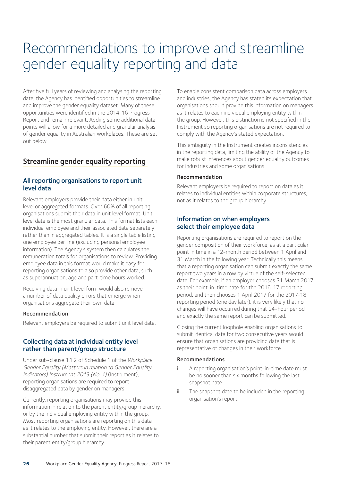# Recommendations to improve and streamline gender equality reporting and data

After five full years of reviewing and analysing the reporting data, the Agency has identified opportunities to streamline and improve the gender equality dataset. Many of these opportunities were identified in the 2014-16 Progress Report and remain relevant. Adding some additional data points will allow for a more detailed and granular analysis of gender equality in Australian workplaces. These are set out below.

### Streamline gender equality reporting

#### All reporting organisations to report unit level data

Relevant employers provide their data either in unit level or aggregated formats. Over 60% of all reporting organisations submit their data in unit level format. Unit level data is the most granular data. This format lists each individual employee and their associated data separately rather than in aggregated tables. It is a single table listing one employee per line (excluding personal employee information). The Agency's system then calculates the remuneration totals for organisations to review. Providing employee data in this format would make it easy for reporting organisations to also provide other data, such as superannuation, age and part-time hours worked.

Receiving data in unit level form would also remove a number of data quality errors that emerge when organisations aggregate their own data.

#### Recommendation

Relevant employers be required to submit unit level data.

#### Collecting data at individual entity level rather than parent/group structure

Under sub-clause 1.1.2 of Schedule 1 of the Workplace Gender Equality (Matters in relation to Gender Equality Indicators) Instrument 2013 (No. 1) (Instrument), reporting organisations are required to report disaggregated data by gender on managers.

Currently, reporting organisations may provide this information in relation to the parent entity/group hierarchy, or by the individual employing entity within the group. Most reporting organisations are reporting on this data as it relates to the employing entity. However, there are a substantial number that submit their report as it relates to their parent entity/group hierarchy.

To enable consistent comparison data across employers and industries, the Agency has stated its expectation that organisations should provide this information on managers as it relates to each individual employing entity within the group. However, this distinction is not specified in the Instrument so reporting organisations are not required to comply with the Agency's stated expectation.

This ambiguity in the Instrument creates inconsistencies in the reporting data, limiting the ability of the Agency to make robust inferences about gender equality outcomes for industries and some organisations.

#### Recommendation

Relevant employers be required to report on data as it relates to individual entities within corporate structures, not as it relates to the group hierarchy.

#### Information on when employers select their employee data

Reporting organisations are required to report on the gender composition of their workforce, as at a particular point in time in a 12-month period between 1 April and 31 March in the following year. Technically this means that a reporting organisation can submit exactly the same report two years in a row by virtue of the self-selected date. For example, if an employer chooses 31 March 2017 as their point-in-time date for the 2016-17 reporting period, and then chooses 1 April 2017 for the 2017-18 reporting period (one day later), it is very likely that no changes will have occurred during that 24-hour period and exactly the same report can be submitted.

Closing the current loophole enabling organisations to submit identical data for two consecutive years would ensure that organisations are providing data that is representative of changes in their workforce.

#### Recommendations

- i. A reporting organisation's point-in-time date must be no sooner than six months following the last snapshot date.
- ii. The snapshot date to be included in the reporting organisation's report.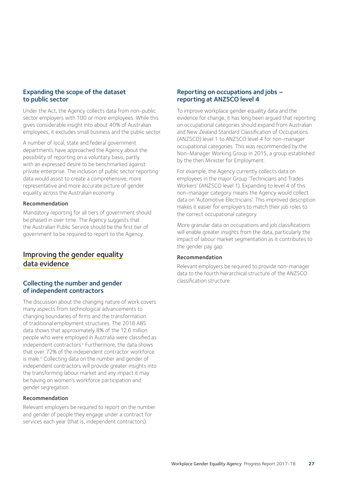#### Expanding the scope of the dataset to public sector

Under the Act, the Agency collects data from non-public sector employers with 100 or more employees. While this gives considerable insight into about 40% of Australian employees, it excludes small business and the public sector.

A number of local, state and federal government departments have approached the Agency about the possibility of reporting on a voluntary basis, partly with an expressed desire to be benchmarked against private enterprise. The inclusion of public sector reporting data would assist to create a comprehensive, more representative and more accurate picture of gender equality across the Australian economy.

#### Recommendation

Mandatory reporting for all tiers of government should be phased in over time. The Agency suggests that the Australian Public Service should be the first tier of government to be required to report to the Agency.

### Improving the gender equality data evidence

#### Collecting the number and gender of independent contractors

The discussion about the changing nature of work covers many aspects from technological advancements to changing boundaries of firms and the transformation of traditional employment structures. The 2018 ABS data shows that approximately 8% of the 12.6 million people who were employed in Australia were classified as independent contractors.<sup>v</sup> Furthermore, the data shows that over 72% of the independent contractor workforce is male.<sup>vi</sup> Collecting data on the number and gender of independent contractors will provide greater insights into the transforming labour market and any impact it may be having on women's workforce participation and gender segregation.

#### Recommendation

Relevant employers be required to report on the number and gender of people they engage under a contract for services each year (that is, independent contractors).

#### Reporting on occupations and jobs – reporting at ANZSCO level 4

To improve workplace gender equality data and the evidence for change, it has long been argued that reporting on occupational categories should expand from Australian and New Zealand Standard Classification of Occupations (ANZSCO) level 1 to ANZSCO level 4 for non-manager occupational categories. This was recommended by the Non-Manager Working Group in 2015, a group established by the then Minister for Employment.

For example, the Agency currently collects data on employees in the major Group 'Technicians and Trades Workers' (ANZSCO level 1). Expanding to level 4 of this non-manager category means the Agency would collect data on 'Automotive Electricians'. This improved description makes it easier for employers to match their job roles to the correct occupational category.

More granular data on occupations and job classifications will enable greater insights from the data, particularly the impact of labour market segmentation as it contributes to the gender pay gap.

#### Recommendation

Relevant employers be required to provide non-manager data to the fourth hierarchical structure of the ANZSCO classification structure.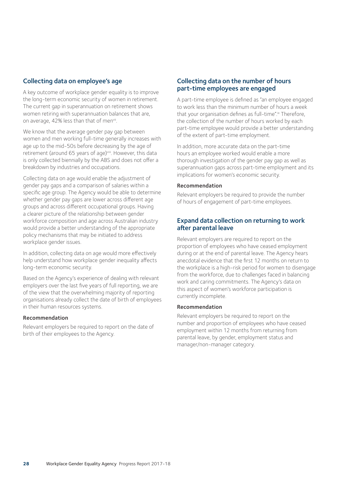#### Collecting data on employee's age

A key outcome of workplace gender equality is to improve the long-term economic security of women in retirement. The current gap in superannuation on retirement shows women retiring with superannuation balances that are, on average, 42% less than that of menvii.

We know that the average gender pay gap between women and men working full-time generally increases with age up to the mid-50s before decreasing by the age of retirement (around 65 years of age)viii. However, this data is only collected biennially by the ABS and does not offer a breakdown by industries and occupations.

Collecting data on age would enable the adjustment of gender pay gaps and a comparison of salaries within a specific age group. The Agency would be able to determine whether gender pay gaps are lower across different age groups and across different occupational groups. Having a clearer picture of the relationship between gender workforce composition and age across Australian industry would provide a better understanding of the appropriate policy mechanisms that may be initiated to address workplace gender issues.

In addition, collecting data on age would more effectively help understand how workplace gender inequality affects long-term economic security.

Based on the Agency's experience of dealing with relevant employers over the last five years of full reporting, we are of the view that the overwhelming majority of reporting organisations already collect the date of birth of employees in their human resources systems.

#### Recommendation

Relevant employers be required to report on the date of birth of their employees to the Agency.

#### Collecting data on the number of hours part-time employees are engaged

A part-time employee is defined as "an employee engaged to work less than the minimum number of hours a week that your organisation defines as full-time".ix Therefore, the collection of the number of hours worked by each part-time employee would provide a better understanding of the extent of part-time employment.

In addition, more accurate data on the part-time hours an employee worked would enable a more thorough investigation of the gender pay gap as well as superannuation gaps across part-time employment and its implications for women's economic security.

#### Recommendation

Relevant employers be required to provide the number of hours of engagement of part-time employees.

#### Expand data collection on returning to work after parental leave

Relevant employers are required to report on the proportion of employees who have ceased employment during or at the end of parental leave. The Agency hears anecdotal evidence that the first 12 months on return to the workplace is a high-risk period for women to disengage from the workforce, due to challenges faced in balancing work and caring commitments. The Agency's data on this aspect of women's workforce participation is currently incomplete.

#### Recommendation

Relevant employers be required to report on the number and proportion of employees who have ceased employment within 12 months from returning from parental leave, by gender, employment status and manager/non-manager category.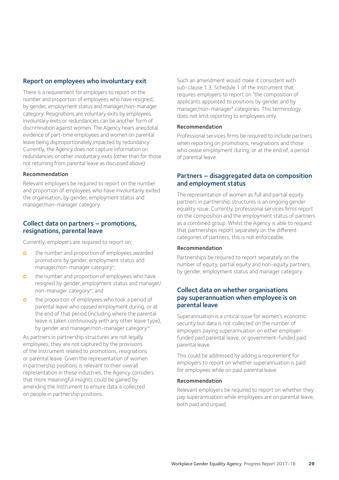#### Report on employees who involuntary exit

There is a requirement for employers to report on the number and proportion of employees who have resigned, by gender, employment status and manager/non-manager category. Resignations are voluntary exits by employees. Involuntary exits or redundancies can be another form of discrimination against women. The Agency hears anecdotal evidence of part-time employees and women on parental leave being disproportionately impacted by redundancy. Currently, the Agency does not capture information on redundancies or other involuntary exits (other than for those not returning from parental leave as discussed above).

#### Recommendation

Relevant employers be required to report on the number and proportion of employees who have involuntarily exited the organisation, by gender, employment status and manager/non-manager category.

#### Collect data on partners – promotions, resignations, parental leave

Currently, employers are required to report on:

- **o** the number and proportion of employees awarded promotions by gender, employment status and manager/non-manager category<sup>x</sup>;
- **o** the number and proportion of employees who have resigned by gender, employment status and manager/ non-manager category<sup>xi</sup>; and
- **o** the proportion of employees who took a period of parental leave who ceased employment during, or at the end of that period (including where the parental leave is taken continuously with any other leave type), by gender and manager/non-manager category<sup>xii</sup>.

As partners in partnership structures are not legally employees, they are not captured by the provisions of the Instrument related to promotions, resignations or parental leave. Given the representation of women in partnership positions is relevant to their overall representation in these industries, the Agency considers that more meaningful insights could be gained by amending the Instrument to ensure data is collected on people in partnership positions.

Such an amendment would make it consistent with sub-clause 1.3, Schedule 1 of the Instrument that requires employers to report on "the composition of applicants appointed to positions by gender and by manager/non-manager" categories. This terminology does not limit reporting to employees only.

#### Recommendation

Professional services firms be required to include partners when reporting on promotions, resignations and those who cease employment during, or at the end of, a period of parental leave.

#### Partners – disaggregated data on composition and employment status

The representation of women as full and partial equity partners in partnership structures is an ongoing gender equality issue. Currently, professional services firms report on the composition and the employment status of partners as a combined group. Whilst the Agency is able to request that partnerships report separately on the different categories of partners, this is not enforceable.

#### Recommendation

Partnerships be required to report separately on the number of equity, partial equity and non-equity partners, by gender, employment status and manager category.

#### Collect data on whether organisations pay superannuation when employee is on parental leave

Superannuation is a critical issue for women's economic security but data is not collected on the number of employers paying superannuation on either employerfunded paid parental leave, or government-funded paid parental leave.

This could be addressed by adding a requirement for employers to report on whether superannuation is paid for employees while on paid parental leave.

#### Recommendation

Relevant employers be required to report on whether they pay superannuation while employees are on parental leave, both paid and unpaid.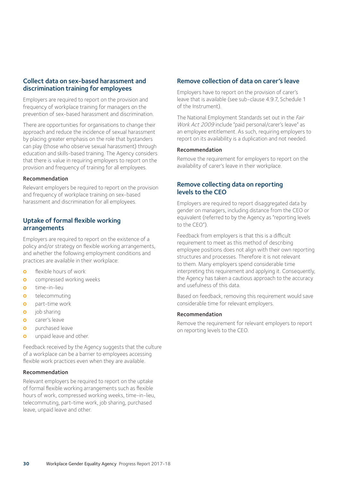#### Collect data on sex-based harassment and discrimination training for employees

Employers are required to report on the provision and frequency of workplace training for managers on the prevention of sex-based harassment and discrimination.

There are opportunities for organisations to change their approach and reduce the incidence of sexual harassment by placing greater emphasis on the role that bystanders can play (those who observe sexual harassment) through education and skills-based training. The Agency considers that there is value in requiring employers to report on the provision and frequency of training for all employees.

#### Recommendation

Relevant employers be required to report on the provision and frequency of workplace training on sex-based harassment and discrimination for all employees.

#### Uptake of formal flexible working arrangements

Employers are required to report on the existence of a policy and/or strategy on flexible working arrangements, and whether the following employment conditions and practices are available in their workplace:

- **o** flexible hours of work
- **o** compressed working weeks
- **o** time-in-lieu
- **o** telecommuting
- **o** part-time work
- **o** iob sharing
- **o** carer's leave
- **o** purchased leave
- **o** unpaid leave and other.

Feedback received by the Agency suggests that the culture of a workplace can be a barrier to employees accessing flexible work practices even when they are available.

#### Recommendation

Relevant employers be required to report on the uptake of formal flexible working arrangements such as flexible hours of work, compressed working weeks, time-in-lieu, telecommuting, part-time work, job sharing, purchased leave, unpaid leave and other.

#### Remove collection of data on carer's leave

Employers have to report on the provision of carer's leave that is available (see sub-clause 4.9.7, Schedule 1 of the Instrument).

The National Employment Standards set out in the Fair Work Act 2009 include "paid personal/carer's leave" as an employee entitlement. As such, requiring employers to report on its availability is a duplication and not needed.

#### Recommendation

Remove the requirement for employers to report on the availability of carer's leave in their workplace.

#### Remove collecting data on reporting levels to the CEO

Employers are required to report disaggregated data by gender on managers, including distance from the CEO or equivalent (referred to by the Agency as "reporting levels to the CEO").

Feedback from employers is that this is a difficult requirement to meet as this method of describing employee positions does not align with their own reporting structures and processes. Therefore it is not relevant to them. Many employers spend considerable time interpreting this requirement and applying it. Consequently, the Agency has taken a cautious approach to the accuracy and usefulness of this data.

Based on feedback, removing this requirement would save considerable time for relevant employers.

#### Recommendation

Remove the requirement for relevant employers to report on reporting levels to the CEO.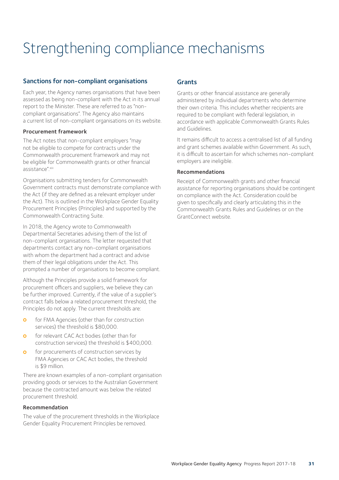# Strengthening compliance mechanisms

#### Sanctions for non-compliant organisations

Each year, the Agency names organisations that have been assessed as being non-compliant with the Act in its annual report to the Minister. These are referred to as "noncompliant organisations". The Agency also maintains a current list of non-compliant organisations on its website.

#### Procurement framework

The Act notes that non-compliant employers "may not be eligible to compete for contracts under the Commonwealth procurement framework and may not be eligible for Commonwealth grants or other financial assistance".xiii

Organisations submitting tenders for Commonwealth Government contracts must demonstrate compliance with the Act (if they are defined as a relevant employer under the Act). This is outlined in the Workplace Gender Equality Procurement Principles (Principles) and supported by the Commonwealth Contracting Suite.

In 2018, the Agency wrote to Commonwealth Departmental Secretaries advising them of the list of non-compliant organisations. The letter requested that departments contact any non-compliant organisations with whom the department had a contract and advise them of their legal obligations under the Act. This prompted a number of organisations to become compliant.

Although the Principles provide a solid framework for procurement officers and suppliers, we believe they can be further improved. Currently, if the value of a supplier's contract falls below a related procurement threshold, the Principles do not apply. The current thresholds are:

- **o** for FMA Agencies (other than for construction services) the threshold is \$80,000.
- **o** for relevant CAC Act bodies (other than for construction services) the threshold is \$400,000.
- **o** for procurements of construction services by FMA Agencies or CAC Act bodies, the threshold is \$9 million.

There are known examples of a non-compliant organisation providing goods or services to the Australian Government because the contracted amount was below the related procurement threshold.

#### Recommendation

The value of the procurement thresholds in the Workplace Gender Equality Procurement Principles be removed.

### **Grants**

Grants or other financial assistance are generally administered by individual departments who determine their own criteria. This includes whether recipients are required to be compliant with federal legislation, in accordance with applicable Commonwealth Grants Rules and Guidelines.

It remains difficult to access a centralised list of all funding and grant schemes available within Government. As such, it is difficult to ascertain for which schemes non-compliant employers are ineligible.

#### Recommendations

Receipt of Commonwealth grants and other financial assistance for reporting organisations should be contingent on compliance with the Act. Consideration could be given to specifically and clearly articulating this in the Commonwealth Grants Rules and Guidelines or on the GrantConnect website.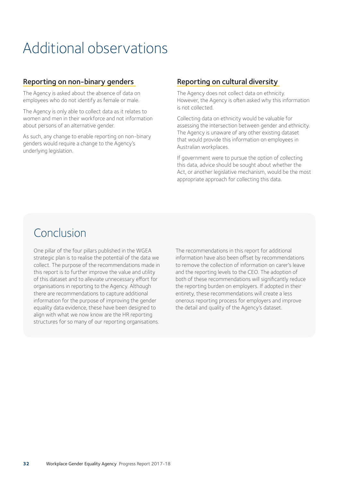# Additional observations

### Reporting on non-binary genders

The Agency is asked about the absence of data on employees who do not identify as female or male.

The Agency is only able to collect data as it relates to women and men in their workforce and not information about persons of an alternative gender.

As such, any change to enable reporting on non-binary genders would require a change to the Agency's underlying legislation.

### Reporting on cultural diversity

The Agency does not collect data on ethnicity. However, the Agency is often asked why this information is not collected.

Collecting data on ethnicity would be valuable for assessing the intersection between gender and ethnicity. The Agency is unaware of any other existing dataset that would provide this information on employees in Australian workplaces.

If government were to pursue the option of collecting this data, advice should be sought about whether the Act, or another legislative mechanism, would be the most appropriate approach for collecting this data.

# Conclusion

One pillar of the four pillars published in the WGEA strategic plan is to realise the potential of the data we collect. The purpose of the recommendations made in this report is to further improve the value and utility of this dataset and to alleviate unnecessary effort for organisations in reporting to the Agency. Although there are recommendations to capture additional information for the purpose of improving the gender equality data evidence, these have been designed to align with what we now know are the HR reporting structures for so many of our reporting organisations.

The recommendations in this report for additional information have also been offset by recommendations to remove the collection of information on carer's leave and the reporting levels to the CEO. The adoption of both of these recommendations will significantly reduce the reporting burden on employers. If adopted in their entirety, these recommendations will create a less onerous reporting process for employers and improve the detail and quality of the Agency's dataset.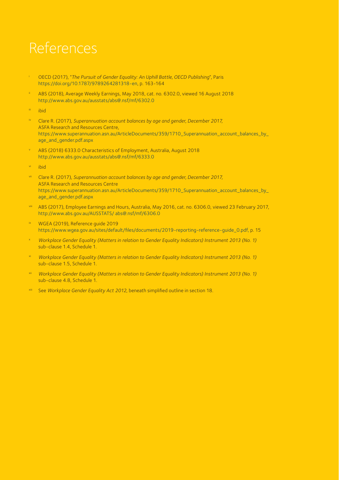# References

- i OECD (2017), "*The Pursuit of Gender Equality: An Uphill Battle, OECD Publishing*", Paris https://doi.org/10.1787/9789264281318-en, p. 163-164
- ABS (2018), Average Weekly Earnings, May 2018, cat. no. 6302.0, viewed 16 August 2018 http://www.abs.gov.au/ausstats/abs@.nsf/mf/6302.0
- iii ibid
- Clare R. (2017), Superannuation account balances by age and gender, December 2017, ASFA Research and Resources Centre, https://www.superannuation.asn.au/ArticleDocuments/359/1710\_Superannuation\_account\_balances\_by\_ age\_and\_gender.pdf.aspx
- ABS (2018) 6333.0 Characteristics of Employment, Australia, August 2018 http://www.abs.gov.au/ausstats/abs@.nsf/mf/6333.0
- ibid
- vii Clare R. (2017), *Superannuation account balances by age and gender, December 2017,*  ASFA Research and Resources Centre https://www.superannuation.asn.au/ArticleDocuments/359/1710\_Superannuation\_account\_balances\_by\_ age\_and\_gender.pdf.aspx
- viii ABS (2017), Employee Earnings and Hours, Australia, May 2016, cat. no. 6306.0, viewed 23 February 2017, http://www.abs.gov.au/AUSSTATS/ abs@.nsf/mf/6306.0
- WGEA (2019), Reference guide 2019 https://www.wgea.gov.au/sites/default/files/documents/2019-reporting-reference-guide\_0.pdf, p. 15
- <sup>x</sup>*Workplace Gender Equality (Matters in relation to Gender Equality Indicators) Instrument 2013 (No. 1)*  sub-clause 1.4, Schedule 1.
- xi *Workplace Gender Equality (Matters in relation to Gender Equality Indicators) Instrument 2013 (No. 1)*  sub-clause 1.5, Schedule 1.
- Workplace Gender Equality (Matters in relation to Gender Equality Indicators) Instrument 2013 (No. 1) sub-clause 4.8, Schedule 1.
- See Workplace Gender Equality Act 2012, beneath simplified outline in section 18.